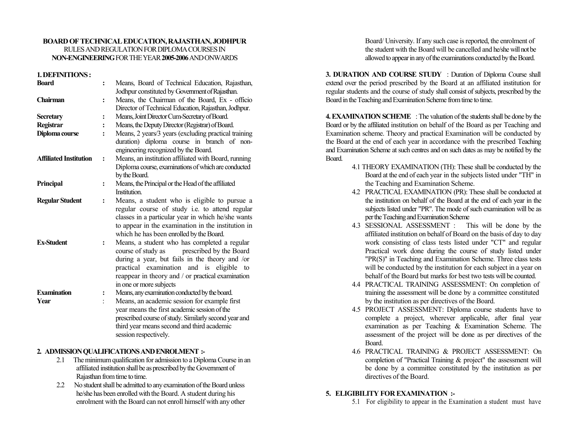#### **BOARD OF TECHICAL EDUCATIO, RAJASTHA, JODHPUR** RULES AND REGULATION FOR DIPLOMA COURSES IN **O-EGIEERIG** FOR THE YEAR **2005-2006** AND ONWARDS

#### **1. DEFIITIOS :**

| <b>Board</b>                  | $\ddot{\cdot}$       | Means, Board of Technical Education, Rajasthan,                                                    |
|-------------------------------|----------------------|----------------------------------------------------------------------------------------------------|
|                               |                      | Jodhpur constituted by Government of Rajasthan.                                                    |
| Chairman                      | $\ddot{\cdot}$       | Means, the Chairman of the Board, Ex - officio                                                     |
|                               |                      | Director of Technical Education, Rajasthan, Jodhpur.                                               |
| <b>Secretary</b>              | :                    | Means, Joint Director Cum-Secretary of Board.                                                      |
| Registrar                     |                      | Means, the Deputy Director (Registrar) of Board.                                                   |
| Diploma course                | $\ddot{\cdot}$       | Means, 2 years/3 years (excluding practical training<br>duration) diploma course in branch of non- |
|                               |                      | engineering recognized by the Board.                                                               |
| <b>Affiliated Institution</b> | $\ddot{\cdot}$       | Means, an institution affiliated with Board, running                                               |
|                               |                      | Diploma course, examinations of which are conducted                                                |
|                               |                      | by the Board.                                                                                      |
| Principal                     | $\ddot{\cdot}$       | Means, the Principal or the Head of the affiliated                                                 |
|                               |                      | <b>Institution</b>                                                                                 |
| <b>Regular Student</b>        | $\ddot{\cdot}$       | Means, a student who is eligible to pursue a                                                       |
|                               |                      | regular course of study i.e. to attend regular                                                     |
|                               |                      | classes in a particular year in which he/she wants                                                 |
|                               |                      | to appear in the examination in the institution in                                                 |
|                               |                      | which he has been enrolled by the Board.                                                           |
| <b>Ex-Student</b>             | :                    | Means, a student who has completed a regular                                                       |
|                               |                      | prescribed by the Board<br>course of study as                                                      |
|                               |                      | during a year, but fails in the theory and /or                                                     |
|                               |                      | practical examination and is eligible to                                                           |
|                               |                      | reappear in theory and / or practical examination                                                  |
|                               |                      | in one or more subjects                                                                            |
| <b>Examination</b>            | ፡                    | Means, any examination conducted by the board.                                                     |
| Year                          | $\ddot{\phantom{0}}$ | Means, an academic session for example first                                                       |
|                               |                      | year means the first academic session of the                                                       |
|                               |                      | prescribed course of study. Similarly second year and                                              |
|                               |                      | third year means second and third academic                                                         |
|                               |                      |                                                                                                    |
|                               |                      | session respectively.                                                                              |

### **2. ADMISSIO QUALIFICATIOS AD EROLMET :-**

- 2.1 The minimum qualification for admission to a Diploma Course in an affiliated institution shall be as prescribed by the Government of Rajasthan from time to time.
- 2.2 No student shall be admitted to any examination of the Board unless he/she has been enrolled with the Board. A student during his enrolment with the Board can not enroll himself with any other

Board/ University. If any such case is reported, the enrolment of the student with the Board will be cancelled and he/she will not be allowed to appear in any of the examinations conducted by the Board.

**3. DURATION AND COURSE STUDY** : Duration of Diploma Course shall extend over the period prescribed by the Board at an affiliated institution for regular students and the course of study shall consist of subjects, prescribed by the Board in the Teaching and Examination Scheme from time to time.

**4. EXAMINATION SCHEME** : The valuation of the students shall be done by the Board or by the affiliated institution on behalf of the Board as per Teaching and Examination scheme. Theory and practical Examination will be conducted by the Board at the end of each year in accordance with the prescribed Teaching and Examination Scheme at such centres and on such dates as may be notified by the Board.

- 4.1 THEORY EXAMINATION (TH): These shall be conducted by the Board at the end of each year in the subjects listed under "TH" in the Teaching and Examination Scheme.
- 4.2 PRACTICAL EXAMINATION (PR): These shall be conducted at the institution on behalf of the Board at the end of each year in the subjects listed under "PR". The mode of such examination will be as per the Teaching and Examination Scheme
- 4.3 SESSIONAL ASSESSMENT : This will be done by the affiliated institution on behalf of Board on the basis of day to day work consisting of class tests listed under "CT" and regular Practical work done during the course of study listed under "PR(S)" in Teaching and Examination Scheme. Three class tests will be conducted by the institution for each subject in a year on behalf of the Board but marks for best two tests will be counted.
- 4.4 PRACTICAL TRAINING ASSESSMENT: On completion of training the assessment will be done by a committee constituted by the institution as per directives of the Board.
- 4.5 PROJECT ASSESSMENT: Diploma course students have to complete a project, wherever applicable, after final year examination as per Teaching & Examination Scheme. The assessment of the project will be done as per directives of the Board.
- 4.6 PRACTICAL TRAINING & PROJECT ASSESSMENT: On completion of "Practical Training & project" the assessment will be done by a committee constituted by the institution as per directives of the Board.

### **5. ELIGIBILITY FOR EXAMIATIO :-**

5.1 For eligibility to appear in the Examination a student must have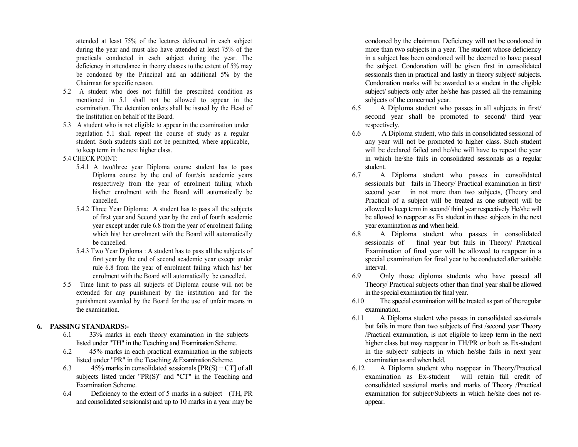attended at least 75% of the lectures delivered in each subject during the year and must also have attended at least 75% of the practicals conducted in each subject during the year. The deficiency in attendance in theory classes to the extent of 5% may be condoned by the Principal and an additional 5% by the Chairman for specific reason.

- 5.2 A student who does not fulfill the prescribed condition as mentioned in 5.1 shall not be allowed to appear in the examination. The detention orders shall be issued by the Head of the Institution on behalf of the Board.
- 5.3 A student who is not eligible to appear in the examination under regulation 5.1 shall repeat the course of study as a regular student. Such students shall not be permitted, where applicable, to keep term in the next higher class.
- 5.4 CHECK POINT:
	- 5.4.1 A two/three year Diploma course student has to pass Diploma course by the end of four/six academic years respectively from the year of enrolment failing which his/her enrolment with the Board will automatically be cancelled.
	- 5.4.2 Three Year Diploma: A student has to pass all the subjects of first year and Second year by the end of fourth academic year except under rule 6.8 from the year of enrolment failing which his/ her enrolment with the Board will automatically be cancelled.
	- 5.4.3 Two Year Diploma : A student has to pass all the subjects of first year by the end of second academic year except under rule 6.8 from the year of enrolment failing which his/ her enrolment with the Board will automatically be cancelled.
- 5.5 Time limit to pass all subjects of Diploma course will not be extended for any punishment by the institution and for the punishment awarded by the Board for the use of unfair means in the examination.

# **6. PASSIG STADARDS:-**

- 6.1 33% marks in each theory examination in the subjects listed under "TH" in the Teaching and Examination Scheme.
- 6.2 45% marks in each practical examination in the subjects listed under "PR" in the Teaching & Examination Scheme.
- 6.3 45% marks in consolidated sessionals  $[PR(S) + CT]$  of all subjects listed under "PR(S)" and "CT" in the Teaching and Examination Scheme.
- 6.4 Deficiency to the extent of 5 marks in a subject (TH, PR and consolidated sessionals) and up to 10 marks in a year may be

condoned by the chairman. Deficiency will not be condoned in more than two subjects in a year. The student whose deficiency in a subject has been condoned will be deemed to have passed the subject. Condonation will be given first in consolidated sessionals then in practical and lastly in theory subject/ subjects. Condonation marks will be awarded to a student in the eligible subject/ subjects only after he/she has passed all the remaining subjects of the concerned year.

- 6.5 A Diploma student who passes in all subjects in first/ second year shall be promoted to second/ third yearrespectively.
- 6.6 A Diploma student, who fails in consolidated sessional of any year will not be promoted to higher class. Such student will be declared failed and he/she will have to repeat the year in which he/she fails in consolidated sessionals as a regular student.
- 6.7 A Diploma student who passes in consolidated sessionals but fails in Theory/ Practical examination in first/ second year in not more than two subjects, (Theory and Practical of a subject will be treated as one subject) will be allowed to keep term in second/ third year respectively He/she will be allowed to reappear as Ex student in these subjects in the next year examination as and when held.
- 6.8 A Diploma student who passes in consolidated sessionals of final year but fails in Theory/ Practical Examination of final year will be allowed to reappear in a special examination for final year to be conducted after suitable interval.
- 6.9 Only those diploma students who have passed all Theory/ Practical subjects other than final year shall be allowed in the special examination for final year.
- 6.10 The special examination will be treated as part of the regular examination.
- 6.11 A Diploma student who passes in consolidated sessionals but fails in more than two subjects of first /second year Theory /Practical examination, is not eligible to keep term in the next higher class but may reappear in TH/PR or both as Ex-student in the subject/ subjects in which he/she fails in next year examination as and when held.
- 6.12 A Diploma student who reappear in Theory/Practical examination as Ex-student will retain full credit of consolidated sessional marks and marks of Theory /Practical examination for subject/Subjects in which he/she does not reappear.